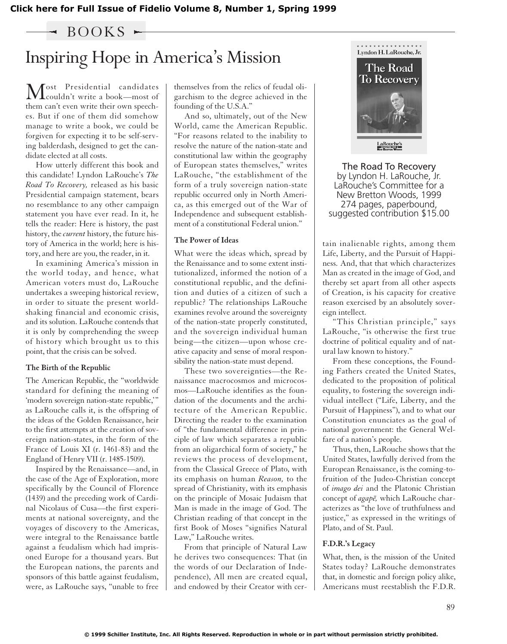**[Click here for Full Issue of Fidelio Volume 8, Number 1, Spring 1999](http://schillerinstitute.org/fidelio_archive/1999/fidv08n01-1999Sp/index.html)**

 $-$  BOOKS  $\sim$ 

# Inspiring Hope in America's Mission

Most Presidential candidates<br>couldn't write a book—most of them can't even write their own speeches. But if one of them did somehow manage to write a book, we could be forgiven for expecting it to be self-serving balderdash, designed to get the candidate elected at all costs.

How utterly different this book and this candidate! Lyndon LaRouche's *The Road To Recovery,* released as his basic Presidential campaign statement, bears no resemblance to any other campaign statement you have ever read. In it, he tells the reader: Here is history, the past history, the *current* history, the future history of America in the world; here is history, and here are you, the reader, in it.

In examining America's mission in the world today, and hence, what American voters must do, LaRouche undertakes a sweeping historical review, in order to situate the present worldshaking financial and economic crisis, and its solution. LaRouche contends that it is only by comprehending the sweep of history which brought us to this point, that the crisis can be solved.

#### **The Birth of the Republic**

The American Republic, the "worldwide standard for defining the meaning of 'modern sovereign nation-state republic,'" as LaRouche calls it, is the offspring of the ideas of the Golden Renaissance, heir to the first attempts at the creation of sovereign nation-states, in the form of the France of Louis XI (r. 1461-83) and the England of Henry VII (r. 1485-1509).

Inspired by the Renaissance—and, in the case of the Age of Exploration, more specifically by the Council of Florence (1439) and the preceding work of Cardinal Nicolaus of Cusa—the first experiments at national sovereignty, and the voyages of discovery to the Americas, were integral to the Renaissance battle against a feudalism which had imprisoned Europe for a thousand years. But the European nations, the parents and sponsors of this battle against feudalism, were, as LaRouche says, "unable to free

themselves from the relics of feudal oligarchism to the degree achieved in the founding of the U.S.A."

And so, ultimately, out of the New World, came the American Republic. "For reasons related to the inability to resolve the nature of the nation-state and constitutional law within the geography of European states themselves," writes LaRouche, "the establishment of the form of a truly sovereign nation-state republic occurred only in North America, as this emerged out of the War of Independence and subsequent establishment of a constitutional Federal union."

#### **The Power of Ideas**

What were the ideas which, spread by the Renaissance and to some extent institutionalized, informed the notion of a constitutional republic, and the definition and duties of a citizen of such a republic? The relationships LaRouche examines revolve around the sovereignty of the nation-state properly constituted, and the sovereign individual human being—the citizen—upon whose creative capacity and sense of moral responsibility the nation-state must depend.

These two sovereignties—the Renaissance macrocosmos and microcosmos—LaRouche identifies as the foundation of the documents and the architecture of the American Republic. Directing the reader to the examination of "the fundamental difference in principle of law which separates a republic from an oligarchical form of society," he reviews the process of development, from the Classical Greece of Plato, with its emphasis on human *Reason,* to the spread of Christianity, with its emphasis on the principle of Mosaic Judaism that Man is made in the image of God. The Christian reading of that concept in the first Book of Moses "signifies Natural Law," LaRouche writes.

From that principle of Natural Law he derives two consequences: That (in the words of our Declaration of Independence), All men are created equal, and endowed by their Creator with cer-



The Road To Recovery by Lyndon H. LaRouche, Jr. LaRouche's Committee for a New Bretton Woods, 1999 274 pages, paperbound, suggested contribution \$15.00

tain inalienable rights, among them Life, Liberty, and the Pursuit of Happiness. And, that that which characterizes Man as created in the image of God, and thereby set apart from all other aspects of Creation, is his capacity for creative reason exercised by an absolutely sovereign intellect.

"This Christian principle," says LaRouche, "is otherwise the first true doctrine of political equality and of natural law known to history."

From these conceptions, the Founding Fathers created the United States, dedicated to the proposition of political equality, to fostering the sovereign individual intellect ("Life, Liberty, and the Pursuit of Happiness"), and to what our Constitution enunciates as the goal of national government: the General Welfare of a nation's people.

Thus, then, LaRouche shows that the United States, lawfully derived from the European Renaissance, is the coming-tofruition of the Judeo-Christian concept of *imago dei* and the Platonic Christian concept of *agape*, which LaRouche characterizes as "the love of truthfulness and justice," as expressed in the writings of Plato, and of St. Paul.

### **F.D.R.'s Legacy**

What, then, is the mission of the United States today? LaRouche demonstrates that, in domestic and foreign policy alike, Americans must reestablish the F.D.R.